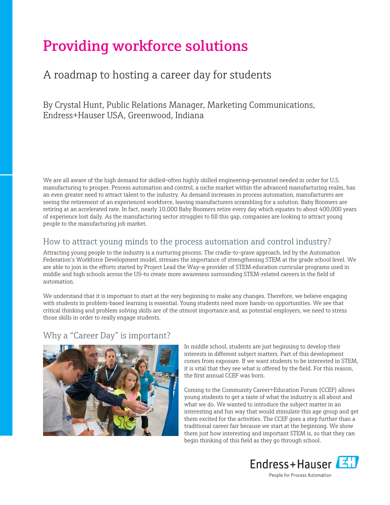# Providing workforce solutions

# A roadmap to hosting a career day for students

By Crystal Hunt, Public Relations Manager, Marketing Communications, Endress+Hauser USA, Greenwood, Indiana

We are all aware of the high demand for skilled—often highly skilled engineering—personnel needed in order for U.S. manufacturing to prosper. Process automation and control, a niche market within the advanced manufacturing realm, has an even greater need to attract talent to the industry. As demand increases in process automation, manufacturers are seeing the retirement of an experienced workforce, leaving manufacturers scrambling for a solution. Baby Boomers are retiring at an accelerated rate. In fact, nearly 10,000 Baby Boomers retire every day which equates to about 400,000 years of experience lost daily. As the manufacturing sector struggles to fill this gap, companies are looking to attract young people to the manufacturing job market.

#### How to attract young minds to the process automation and control industry?

Attracting young people to the industry is a nurturing process. The cradle-to-grave approach, led by the Automation Federation's Workforce Development model, stresses the importance of strengthening STEM at the grade school level. We are able to join in the efforts started by Project Lead the Way—a provider of STEM education curricular programs used in middle and high schools across the US—to create more awareness surrounding STEM-related careers in the field of automation.

We understand that it is important to start at the very beginning to make any changes. Therefore, we believe engaging with students in problem-based learning is essential. Young students need more hands-on opportunities. We see that critical thinking and problem solving skills are of the utmost importance and, as potential employers, we need to stress those skills in order to really engage students.

#### Why a "Career Day" is important?



In middle school, students are just beginning to develop their interests in different subject matters. Part of this development comes from exposure. If we want students to be interested in STEM, it is vital that they see what is offered by the field. For this reason, the first annual CCEF was born.

Coming to the Community Career+Education Forum (CCEF) allows young students to get a taste of what the industry is all about and what we do. We wanted to introduce the subject matter in an interesting and fun way that would stimulate this age group and get them excited for the activities. The CCEF goes a step further than a traditional career fair because we start at the beginning. We show them just how interesting and important STEM is, so that they can begin thinking of this field as they go through school.



People for Process Automation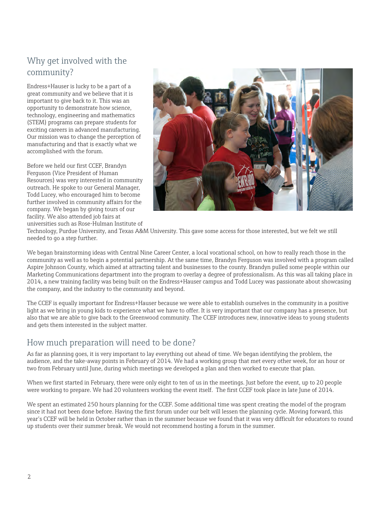## Why get involved with the community?

Endress+Hauser is lucky to be a part of a great community and we believe that it is important to give back to it. This was an opportunity to demonstrate how science, technology, engineering and mathematics (STEM) programs can prepare students for exciting careers in advanced manufacturing. Our mission was to change the perception of manufacturing and that is exactly what we accomplished with the forum.

Before we held our first CCEF, Brandyn Ferguson (Vice President of Human Resources) was very interested in community outreach. He spoke to our General Manager, Todd Lucey, who encouraged him to become further involved in community affairs for the company. We began by giving tours of our facility. We also attended job fairs at universities such as Rose-Hulman Institute of



Technology, Purdue University, and Texas A&M University. This gave some access for those interested, but we felt we still needed to go a step further.

We began brainstorming ideas with Central Nine Career Center, a local vocational school, on how to really reach those in the community as well as to begin a potential partnership. At the same time, Brandyn Ferguson was involved with a program called Aspire Johnson County, which aimed at attracting talent and businesses to the county. Brandyn pulled some people within our Marketing Communications department into the program to overlay a degree of professionalism. As this was all taking place in 2014, a new training facility was being built on the Endress+Hauser campus and Todd Lucey was passionate about showcasing the company, and the industry to the community and beyond.

The CCEF is equally important for Endress+Hauser because we were able to establish ourselves in the community in a positive light as we bring in young kids to experience what we have to offer. It is very important that our company has a presence, but also that we are able to give back to the Greenwood community. The CCEF introduces new, innovative ideas to young students and gets them interested in the subject matter.

## How much preparation will need to be done?

As far as planning goes, it is very important to lay everything out ahead of time. We began identifying the problem, the audience, and the take-away points in February of 2014. We had a working group that met every other week, for an hour or two from February until June, during which meetings we developed a plan and then worked to execute that plan.

When we first started in February, there were only eight to ten of us in the meetings. Just before the event, up to 20 people were working to prepare. We had 20 volunteers working the event itself. The first CCEF took place in late June of 2014.

We spent an estimated 250 hours planning for the CCEF. Some additional time was spent creating the model of the program since it had not been done before. Having the first forum under our belt will lessen the planning cycle. Moving forward, this year's CCEF will be held in October rather than in the summer because we found that it was very difficult for educators to round up students over their summer break. We would not recommend hosting a forum in the summer.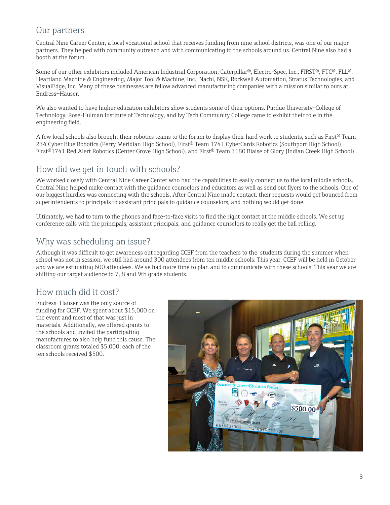#### Our partners

Central Nine Career Center, a local vocational school that receives funding from nine school districts, was one of our major partners. They helped with community outreach and with communicating to the schools around us. Central Nine also had a booth at the forum.

Some of our other exhibitors included American Industrial Corporation, Caterpillar®, Electro-Spec, Inc., FIRST®, FTC®, FLL®, Heartland Machine & Engineering, Major Tool & Machine, Inc., Nachi, NSK, Rockwell Automation, Stratus Technologies, and VisualEdge, Inc. Many of these businesses are fellow advanced manufacturing companies with a mission similar to ours at Endress+Hauser.

We also wanted to have higher education exhibitors show students some of their options. Purdue University—College of Technology, Rose-Hulman Institute of Technology, and Ivy Tech Community College came to exhibit their role in the engineering field.

A few local schools also brought their robotics teams to the forum to display their hard work to students, such as First® Team 234 Cyber Blue Robotics (Perry Meridian High School), First® Team 1741 CyberCards Robotics (Southport High School), First®1741 Red Alert Robotics (Center Grove High School), and First® Team 3180 Blaise of Glory (Indian Creek High School).

#### How did we get in touch with schools?

We worked closely with Central Nine Career Center who had the capabilities to easily connect us to the local middle schools. Central Nine helped make contact with the guidance counselors and educators as well as send out flyers to the schools. One of our biggest hurdles was connecting with the schools. After Central Nine made contact, their requests would get bounced from superintendents to principals to assistant principals to guidance counselors, and nothing would get done.

Ultimately, we had to turn to the phones and face-to-face visits to find the right contact at the middle schools. We set up conference calls with the principals, assistant principals, and guidance counselors to really get the ball rolling.

#### Why was scheduling an issue?

Although it was difficult to get awareness out regarding CCEF from the teachers to the students during the summer when school was not in session, we still had around 300 attendees from ten middle schools. This year, CCEF will be held in October and we are estimating 600 attendees. We've had more time to plan and to communicate with these schools. This year we are shifting our target audience to 7, 8 and 9th grade students.

## How much did it cost?

Endress+Hauser was the only source of funding for CCEF. We spent about \$15,000 on the event and most of that was just in materials. Additionally, we offered grants to the schools and invited the participating manufactures to also help fund this cause. The classroom grants totaled \$5,000; each of the ten schools received \$500.

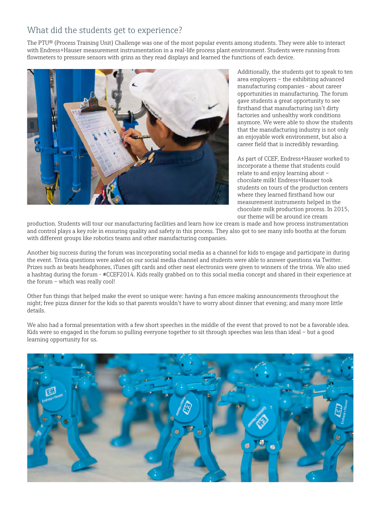## What did the students get to experience?

The PTU® (Process Training Unit) Challenge was one of the most popular events among students. They were able to interact with Endress+Hauser measurement instrumentation in a real-life process plant environment. Students were running from flowmeters to pressure sensors with grins as they read displays and learned the functions of each device.



Additionally, the students got to speak to ten area employers – the exhibiting advanced manufacturing companies - about career opportunities in manufacturing. The forum gave students a great opportunity to see firsthand that manufacturing isn't dirty factories and unhealthy work conditions anymore. We were able to show the students that the manufacturing industry is not only an enjoyable work environment, but also a career field that is incredibly rewarding.

As part of CCEF, Endress+Hauser worked to incorporate a theme that students could relate to and enjoy learning about – chocolate milk! Endress+Hauser took students on tours of the production centers where they learned firsthand how our measurement instruments helped in the chocolate milk production process. In 2015, our theme will be around ice cream

production. Students will tour our manufacturing facilities and learn how ice cream is made and how process instrumentation and control plays a key role in ensuring quality and safety in this process. They also got to see many info booths at the forum with different groups like robotics teams and other manufacturing companies.

Another big success during the forum was incorporating social media as a channel for kids to engage and participate in during the event. Trivia questions were asked on our social media channel and students were able to answer questions via Twitter. Prizes such as beats headphones, iTunes gift cards and other neat electronics were given to winners of the trivia. We also used a hashtag during the forum - #CCEF2014. Kids really grabbed on to this social media concept and shared in their experience at the forum – which was really cool!

Other fun things that helped make the event so unique were: having a fun emcee making announcements throughout the night; free pizza dinner for the kids so that parents wouldn't have to worry about dinner that evening; and many more little details.

We also had a formal presentation with a few short speeches in the middle of the event that proved to not be a favorable idea. Kids were so engaged in the forum so pulling everyone together to sit through speeches was less than ideal – but a good learning opportunity for us.

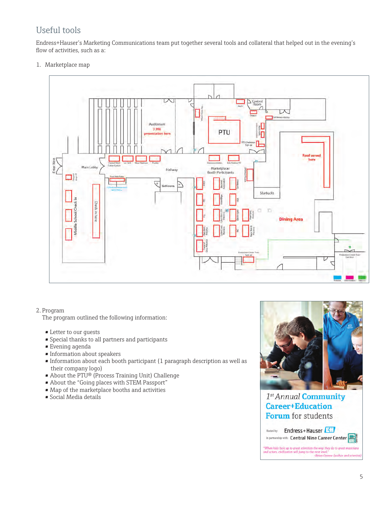# Useful tools

Endress+Hauser's Marketing Communications team put together several tools and collateral that helped out in the evening's flow of activities, such as a:

1. Marketplace map



#### 2. Program

The program outlined the following information:

- Letter to our guests
- Special thanks to all partners and participants
- Evening agenda
- Information about speakers
- Information about each booth participant (1 paragraph description as well as their company logo)
- About the PTU® (Process Training Unit) Challenge
- About the "Going places with STEM Passport"
- Map of the marketplace booths and activities
- Social Media details



1st Annual Community **Career+Education Forum** for students

Endress+Hauser Hosted by: In partnership with: Central Nine Career Center

"When kids look up to great scientists the way they do to great musicial<br>and actors, civilization will jump to the next level."<br>-Brian Greene (author and scien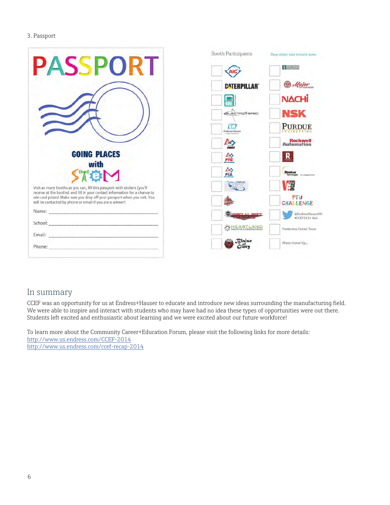#### 3. Passport

|                                                                                                                                                                                                                               | <b>Booth Participants</b>   | Place sticker next to booth name.            |
|-------------------------------------------------------------------------------------------------------------------------------------------------------------------------------------------------------------------------------|-----------------------------|----------------------------------------------|
| <b>PASSPORT</b>                                                                                                                                                                                                               |                             | <b>VIVATECH</b>                              |
|                                                                                                                                                                                                                               | <b>CATERPILLAR</b>          | <b>D</b> Major                               |
|                                                                                                                                                                                                                               |                             | <b>NACHi</b>                                 |
|                                                                                                                                                                                                                               | <b>CELECTROSSPEC</b>        | <b>NSK</b>                                   |
|                                                                                                                                                                                                                               | EN<br>Endress+Hauser        | <b>PURDUE</b>                                |
|                                                                                                                                                                                                                               |                             | <b>Rockwell</b><br>Automation                |
| <b>GOING PLACES</b>                                                                                                                                                                                                           | $\frac{\Delta \phi}{F R^2}$ | R                                            |
| with<br>S THE                                                                                                                                                                                                                 | 盈                           | <b>Stratus</b><br>Technologies humanismovens |
| Visit as many booths as you can, fill this passport with stickers (you'll                                                                                                                                                     |                             | <b>Figure</b>                                |
| receive at the booths) and fill in your contact information for a chance to<br>win cool prizes! Make sure you drop off your passport when you exit. You<br>will be contacted by phone or email if you are a winner!           |                             | ●「U<br>CHALLENGE                             |
| Name: Name: Name: Name: Name: Name: Name: Name: Name: Name: Name: Name: Name: Name: Name: Name: Name: Name: Name: Name: Name: Name: Name: Name: Name: Name: Name: Name: Name: Name: Name: Name: Name: Name: Name: Name: Name: |                             | @EndressHauserUS<br>#CCEF2014 Hub            |
|                                                                                                                                                                                                                               | MACHINESENGINEERING         | <b>Production Center Tours</b>               |
|                                                                                                                                                                                                                               |                             |                                              |
|                                                                                                                                                                                                                               | <b>Blaise</b><br>Clorn      | When I Grow Up                               |

#### In summary

CCEF was an opportunity for us at Endress+Hauser to educate and introduce new ideas surrounding the manufacturing field. We were able to inspire and interact with students who may have had no idea these types of opportunities were out there. Students left excited and enthusiastic about learning and we were excited about our future workforce!

To learn more about the Community Career+Education Forum, please visit the following links for more details: <http://www.us.endress.com/CCEF-2014> <http://www.us.endress.com/ccef-recap-2014>